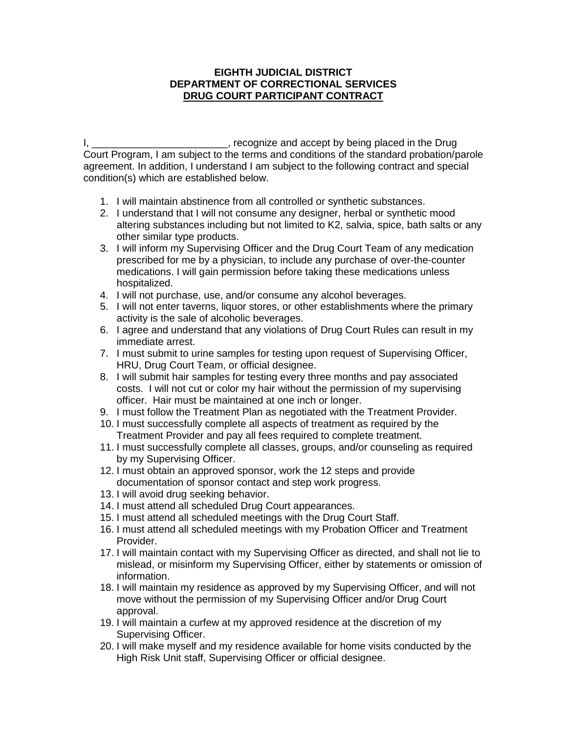## **EIGHTH JUDICIAL DISTRICT DEPARTMENT OF CORRECTIONAL SERVICES DRUG COURT PARTICIPANT CONTRACT**

I, \_\_\_\_\_\_\_\_\_\_\_\_\_\_\_\_\_\_\_\_\_\_\_, recognize and accept by being placed in the Drug Court Program, I am subject to the terms and conditions of the standard probation/parole agreement. In addition, I understand I am subject to the following contract and special condition(s) which are established below.

- 1. I will maintain abstinence from all controlled or synthetic substances.
- 2. I understand that I will not consume any designer, herbal or synthetic mood altering substances including but not limited to K2, salvia, spice, bath salts or any other similar type products.
- 3. I will inform my Supervising Officer and the Drug Court Team of any medication prescribed for me by a physician, to include any purchase of over-the-counter medications. I will gain permission before taking these medications unless hospitalized.
- 4. I will not purchase, use, and/or consume any alcohol beverages.
- 5. I will not enter taverns, liquor stores, or other establishments where the primary activity is the sale of alcoholic beverages.
- 6. I agree and understand that any violations of Drug Court Rules can result in my immediate arrest.
- 7. I must submit to urine samples for testing upon request of Supervising Officer, HRU, Drug Court Team, or official designee.
- 8. I will submit hair samples for testing every three months and pay associated costs. I will not cut or color my hair without the permission of my supervising officer. Hair must be maintained at one inch or longer.
- 9. I must follow the Treatment Plan as negotiated with the Treatment Provider.
- 10. I must successfully complete all aspects of treatment as required by the Treatment Provider and pay all fees required to complete treatment.
- 11. I must successfully complete all classes, groups, and/or counseling as required by my Supervising Officer.
- 12. I must obtain an approved sponsor, work the 12 steps and provide documentation of sponsor contact and step work progress.
- 13. I will avoid drug seeking behavior.
- 14. I must attend all scheduled Drug Court appearances.
- 15. I must attend all scheduled meetings with the Drug Court Staff.
- 16. I must attend all scheduled meetings with my Probation Officer and Treatment Provider.
- 17. I will maintain contact with my Supervising Officer as directed, and shall not lie to mislead, or misinform my Supervising Officer, either by statements or omission of information.
- 18. I will maintain my residence as approved by my Supervising Officer, and will not move without the permission of my Supervising Officer and/or Drug Court approval.
- 19. I will maintain a curfew at my approved residence at the discretion of my Supervising Officer.
- 20. I will make myself and my residence available for home visits conducted by the High Risk Unit staff, Supervising Officer or official designee.